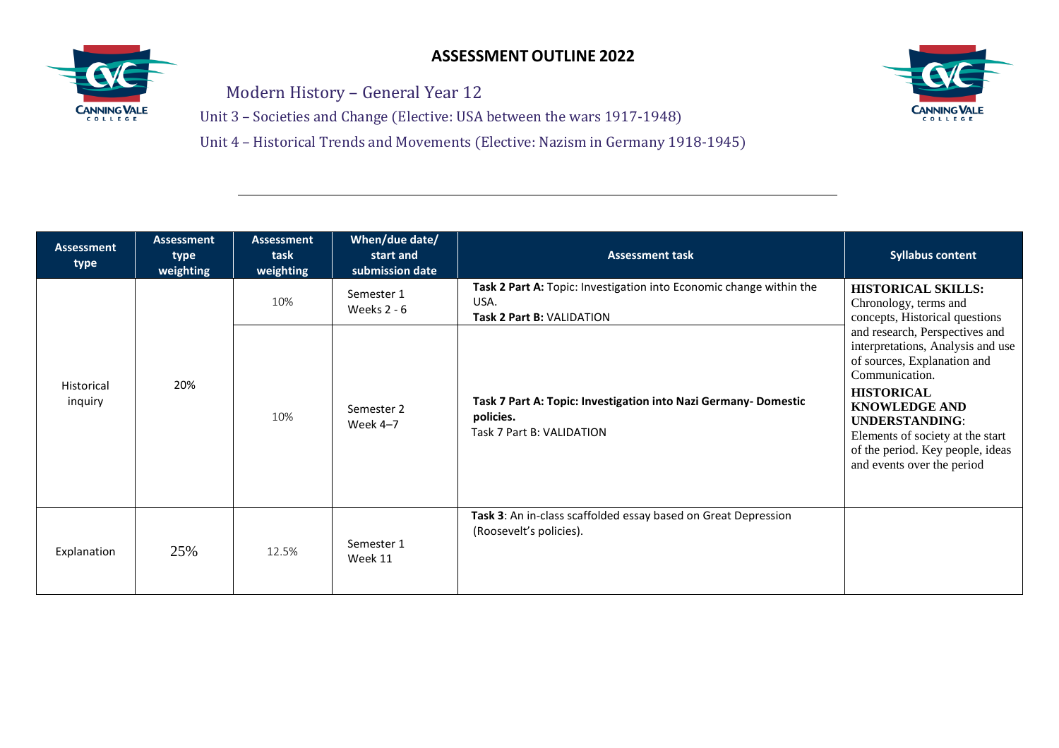

Modern History – General Year 12

Unit 3 – Societies and Change (Elective: USA between the wars 1917-1948)

Unit 4 – Historical Trends and Movements (Elective: Nazism in Germany 1918-1945)



| <b>Assessment</b><br>type | <b>Assessment</b><br>type<br>weighting | <b>Assessment</b><br>task<br>weighting | When/due date/<br>start and<br>submission date | <b>Assessment task</b>                                                                                   | <b>Syllabus content</b>                                                                                                                                                                                                                                                                          |
|---------------------------|----------------------------------------|----------------------------------------|------------------------------------------------|----------------------------------------------------------------------------------------------------------|--------------------------------------------------------------------------------------------------------------------------------------------------------------------------------------------------------------------------------------------------------------------------------------------------|
| Historical<br>inquiry     | 20%                                    | 10%                                    | Semester 1<br>Weeks $2 - 6$                    | Task 2 Part A: Topic: Investigation into Economic change within the<br>USA.<br>Task 2 Part B: VALIDATION | <b>HISTORICAL SKILLS:</b><br>Chronology, terms and<br>concepts, Historical questions                                                                                                                                                                                                             |
|                           |                                        | 10%                                    | Semester 2<br>Week $4-7$                       | Task 7 Part A: Topic: Investigation into Nazi Germany-Domestic<br>policies.<br>Task 7 Part B: VALIDATION | and research, Perspectives and<br>interpretations, Analysis and use<br>of sources, Explanation and<br>Communication.<br><b>HISTORICAL</b><br><b>KNOWLEDGE AND</b><br><b>UNDERSTANDING:</b><br>Elements of society at the start<br>of the period. Key people, ideas<br>and events over the period |
| Explanation               | 25%                                    | 12.5%                                  | Semester 1<br>Week 11                          | Task 3: An in-class scaffolded essay based on Great Depression<br>(Roosevelt's policies).                |                                                                                                                                                                                                                                                                                                  |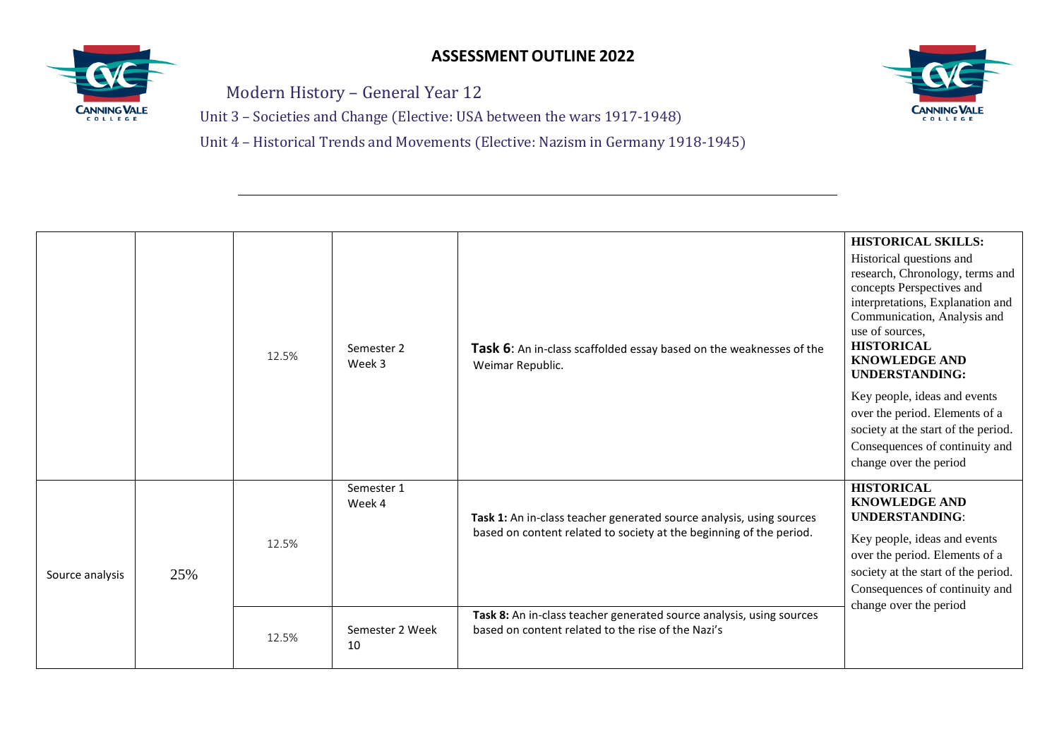

Modern History – General Year 12

Unit 3 – Societies and Change (Elective: USA between the wars 1917-1948)

Unit 4 – Historical Trends and Movements (Elective: Nazism in Germany 1918-1945)



|                 |     | 12.5% | Semester 2<br>Week 3  | Task 6: An in-class scaffolded essay based on the weaknesses of the<br>Weimar Republic.                                                     | <b>HISTORICAL SKILLS:</b><br>Historical questions and<br>research, Chronology, terms and<br>concepts Perspectives and<br>interpretations, Explanation and<br>Communication, Analysis and<br>use of sources,<br><b>HISTORICAL</b><br><b>KNOWLEDGE AND</b><br><b>UNDERSTANDING:</b><br>Key people, ideas and events<br>over the period. Elements of a<br>society at the start of the period.<br>Consequences of continuity and<br>change over the period |
|-----------------|-----|-------|-----------------------|---------------------------------------------------------------------------------------------------------------------------------------------|--------------------------------------------------------------------------------------------------------------------------------------------------------------------------------------------------------------------------------------------------------------------------------------------------------------------------------------------------------------------------------------------------------------------------------------------------------|
| Source analysis | 25% | 12.5% | Semester 1<br>Week 4  | Task 1: An in-class teacher generated source analysis, using sources<br>based on content related to society at the beginning of the period. | <b>HISTORICAL</b><br><b>KNOWLEDGE AND</b><br><b>UNDERSTANDING:</b><br>Key people, ideas and events<br>over the period. Elements of a<br>society at the start of the period.<br>Consequences of continuity and<br>change over the period                                                                                                                                                                                                                |
|                 |     | 12.5% | Semester 2 Week<br>10 | Task 8: An in-class teacher generated source analysis, using sources<br>based on content related to the rise of the Nazi's                  |                                                                                                                                                                                                                                                                                                                                                                                                                                                        |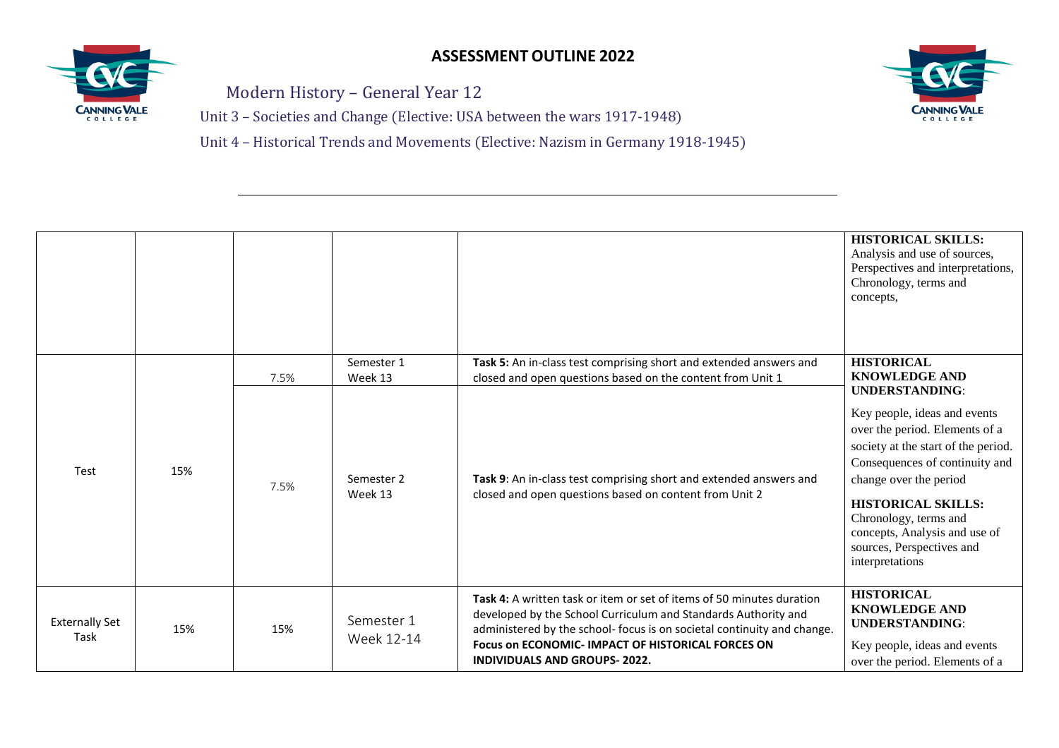

Modern History – General Year 12

Unit 3 – Societies and Change (Elective: USA between the wars 1917-1948)

Unit 4 – Historical Trends and Movements (Elective: Nazism in Germany 1918-1945)



|                               |     |      |                          |                                                                                                                                                                                                                                                                                                                | <b>HISTORICAL SKILLS:</b><br>Analysis and use of sources,<br>Perspectives and interpretations,<br>Chronology, terms and<br>concepts,                                                                                                                                                                                              |
|-------------------------------|-----|------|--------------------------|----------------------------------------------------------------------------------------------------------------------------------------------------------------------------------------------------------------------------------------------------------------------------------------------------------------|-----------------------------------------------------------------------------------------------------------------------------------------------------------------------------------------------------------------------------------------------------------------------------------------------------------------------------------|
|                               |     | 7.5% | Semester 1<br>Week 13    | Task 5: An in-class test comprising short and extended answers and<br>closed and open questions based on the content from Unit 1                                                                                                                                                                               | <b>HISTORICAL</b><br><b>KNOWLEDGE AND</b>                                                                                                                                                                                                                                                                                         |
| Test                          | 15% | 7.5% | Semester 2<br>Week 13    | Task 9: An in-class test comprising short and extended answers and<br>closed and open questions based on content from Unit 2                                                                                                                                                                                   | <b>UNDERSTANDING:</b><br>Key people, ideas and events<br>over the period. Elements of a<br>society at the start of the period.<br>Consequences of continuity and<br>change over the period<br><b>HISTORICAL SKILLS:</b><br>Chronology, terms and<br>concepts, Analysis and use of<br>sources, Perspectives and<br>interpretations |
| <b>Externally Set</b><br>Task | 15% | 15%  | Semester 1<br>Week 12-14 | Task 4: A written task or item or set of items of 50 minutes duration<br>developed by the School Curriculum and Standards Authority and<br>administered by the school- focus is on societal continuity and change.<br>Focus on ECONOMIC- IMPACT OF HISTORICAL FORCES ON<br><b>INDIVIDUALS AND GROUPS-2022.</b> | <b>HISTORICAL</b><br><b>KNOWLEDGE AND</b><br><b>UNDERSTANDING:</b><br>Key people, ideas and events<br>over the period. Elements of a                                                                                                                                                                                              |